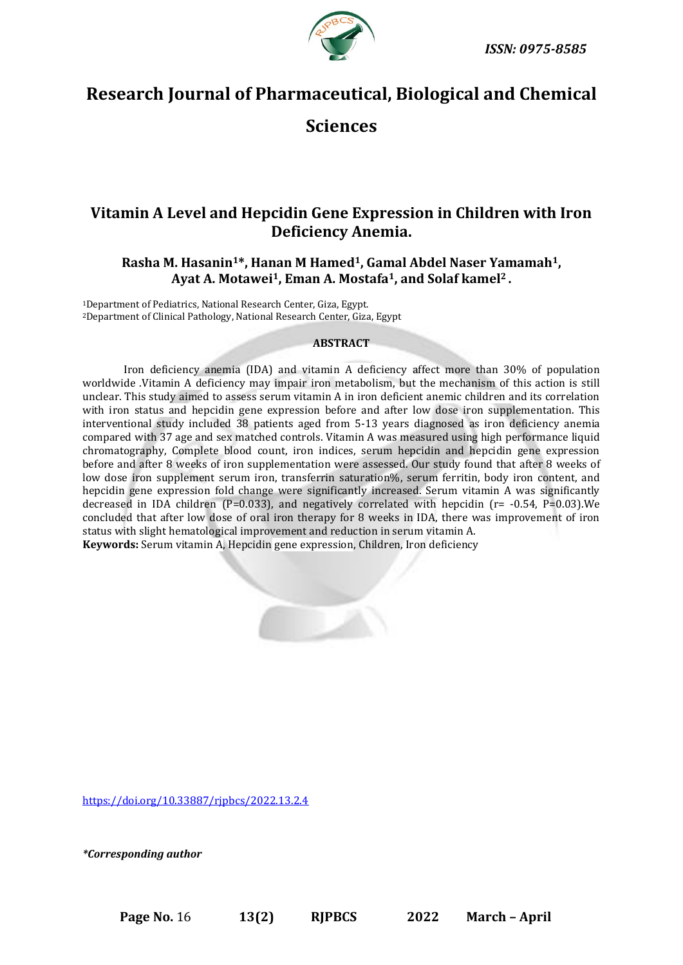

# **Research Journal of Pharmaceutical, Biological and Chemical**

# **Sciences**

# **Vitamin A Level and Hepcidin Gene Expression in Children with Iron Deficiency Anemia.**

# **Rasha M. Hasanin1\*, Hanan M Hamed1, Gamal Abdel Naser Yamamah1, Ayat A. Motawei1, Eman A. Mostafa1, and Solaf kamel<sup>2</sup> .**

<sup>1</sup>Department of Pediatrics, National Research Center, Giza, Egypt. <sup>2</sup>Department of Clinical Pathology, National Research Center, Giza, Egypt

# **ABSTRACT**

Iron deficiency anemia (IDA) and vitamin A deficiency affect more than 30% of population worldwide .Vitamin A deficiency may impair iron metabolism, but the mechanism of this action is still unclear. This study aimed to assess serum vitamin A in iron deficient anemic children and its correlation with iron status and hepcidin gene expression before and after low dose iron supplementation. This interventional study included 38 patients aged from 5-13 years diagnosed as iron deficiency anemia compared with 37 age and sex matched controls. Vitamin A was measured using high performance liquid chromatography, Complete blood count, iron indices, serum hepcidin and hepcidin gene expression before and after 8 weeks of iron supplementation were assessed. Our study found that after 8 weeks of low dose iron supplement serum iron, transferrin saturation%, serum ferritin, body iron content, and hepcidin gene expression fold change were significantly increased. Serum vitamin A was significantly decreased in IDA children (P=0.033), and negatively correlated with hepcidin (r= -0.54, P=0.03).We concluded that after low dose of oral iron therapy for 8 weeks in IDA, there was improvement of iron status with slight hematological improvement and reduction in serum vitamin A. **Keywords:** Serum vitamin A, Hepcidin gene expression, Children, Iron deficiency



*\*Corresponding author*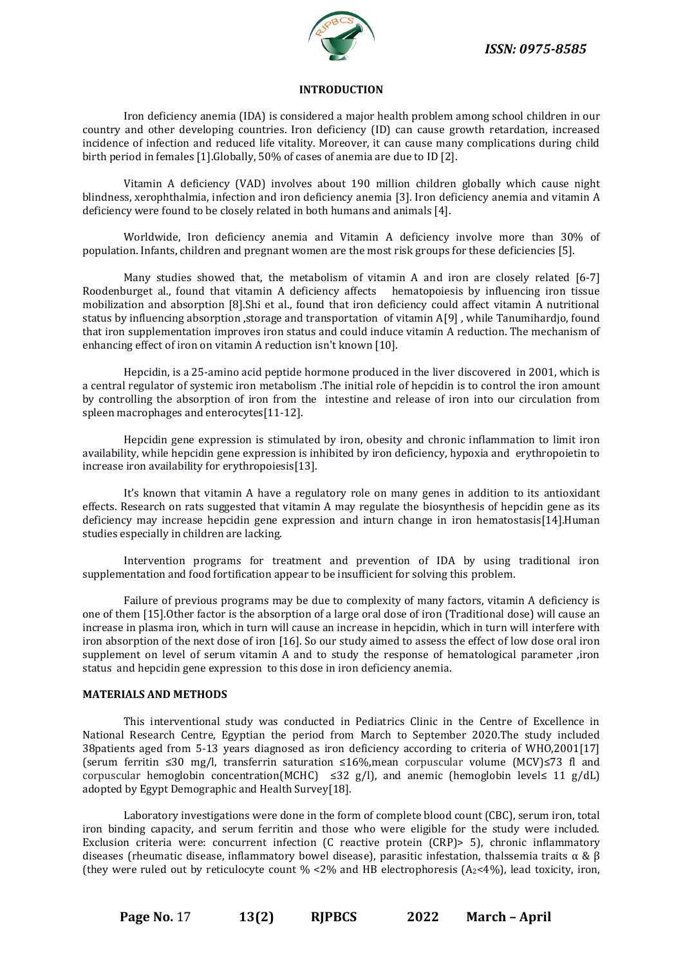

#### **INTRODUCTION**

Iron deficiency anemia (IDA) is considered a major health problem among school children in our country and other developing countries. Iron deficiency (ID) can cause growth retardation, increased incidence of infection and reduced life vitality. Moreover, it can cause many complications during child birth period in females [1].Globally, 50% of cases of anemia are due to ID [2].

Vitamin A deficiency (VAD) involves about 190 million children globally which cause night blindness, xerophthalmia, infection and iron deficiency anemia [3]. Iron deficiency anemia and vitamin A deficiency were found to be closely related in both humans and animals [4].

Worldwide, Iron deficiency anemia and Vitamin A deficiency involve more than 30% of population. Infants, children and pregnant women are the most risk groups for these deficiencies [5].

Many studies showed that, the metabolism of vitamin A and iron are closely related [6-7] Roodenburget al., found that vitamin A deficiency affects hematopoiesis by influencing iron tissue mobilization and absorption [8].Shi et al., found that iron deficiency could affect vitamin A nutritional status by influencing absorption ,storage and transportation of vitamin A[9] , while Tanumihardjo, found that iron supplementation improves iron status and could induce vitamin A reduction. The mechanism of enhancing effect of iron on vitamin A reduction isn't known [10].

Hepcidin, is a 25-amino acid peptide hormone produced in the liver discovered in 2001, which is a central regulator of systemic iron metabolism .The initial role of hepcidin is to control the iron amount by controlling the absorption of iron from the intestine and release of iron into our circulation from spleen macrophages and enterocytes[11-12].

Hepcidin gene expression is stimulated by iron, obesity and chronic inflammation to limit iron availability, while hepcidin gene expression is inhibited by iron deficiency, hypoxia and erythropoietin to increase iron availability for erythropoiesis[13].

It's known that vitamin A have a regulatory role on many genes in addition to its antioxidant effects. Research on rats suggested that vitamin A may regulate the biosynthesis of hepcidin gene as its deficiency may increase hepcidin gene expression and inturn change in iron hematostasis[14].Human studies especially in children are lacking.

Intervention programs for treatment and prevention of IDA by using traditional iron supplementation and food fortification appear to be insufficient for solving this problem.

Failure of previous programs may be due to complexity of many factors, vitamin A deficiency is one of them [15].Other factor is the absorption of a large oral dose of iron (Traditional dose) will cause an increase in plasma iron, which in turn will cause an increase in hepcidin, which in turn will interfere with iron absorption of the next dose of iron [16]. So our study aimed to assess the effect of low dose oral iron supplement on level of serum vitamin A and to study the response of hematological parameter ,iron status and hepcidin gene expression to this dose in iron deficiency anemia.

#### **MATERIALS AND METHODS**

This interventional study was conducted in Pediatrics Clinic in the Centre of Excellence in National Research Centre, Egyptian the period from March to September 2020.The study included 38patients aged from 5-13 years diagnosed as iron deficiency according to criteria of WHO,2001[17] (serum ferritin ≤30 mg/l, transferrin saturation ≤16%,mean corpuscular volume (MCV)≤73 fl and corpuscular hemoglobin concentration(MCHC)  $\leq$ 32 g/l), and anemic (hemoglobin level $\leq$  11 g/dL) adopted by Egypt Demographic and Health Survey[18].

Laboratory investigations were done in the form of complete blood count (CBC), serum iron, total iron binding capacity, and serum ferritin and those who were eligible for the study were included. Exclusion criteria were: concurrent infection (C reactive protein (CRP)> 5), chronic inflammatory diseases (rheumatic disease, inflammatory bowel disease), parasitic infestation, thalssemia traits α & β (they were ruled out by reticulocyte count  $\%$  <2% and HB electrophoresis (A<sub>2</sub><4%), lead toxicity, iron,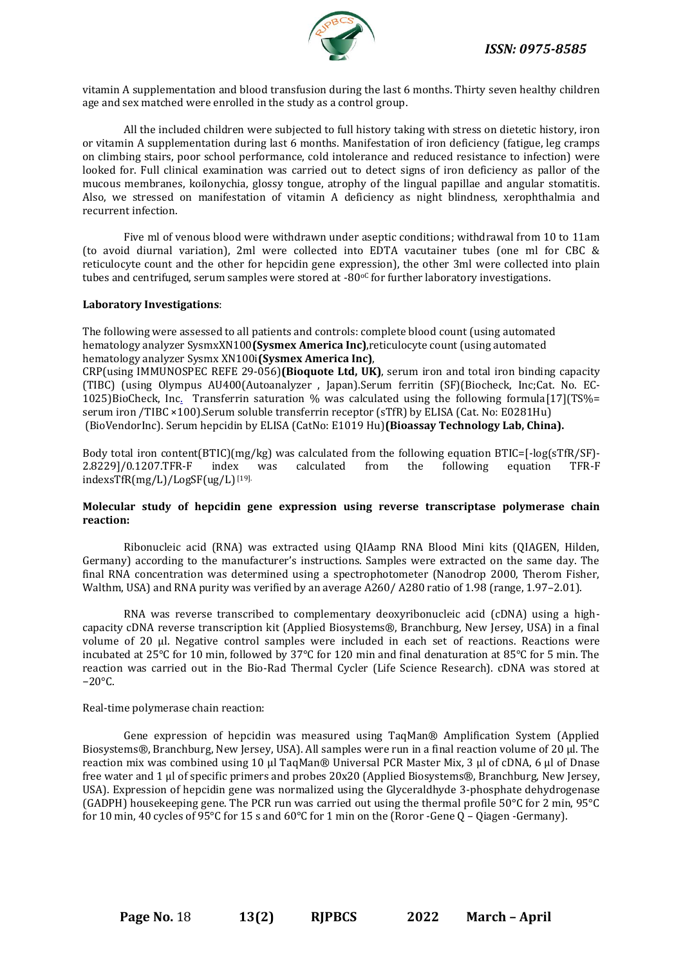

vitamin A supplementation and blood transfusion during the last 6 months. Thirty seven healthy children age and sex matched were enrolled in the study as a control group.

All the included children were subjected to full history taking with stress on dietetic history, iron or vitamin A supplementation during last 6 months. Manifestation of iron deficiency (fatigue, leg cramps on climbing stairs, poor school performance, cold intolerance and reduced resistance to infection) were looked for. Full clinical examination was carried out to detect signs of iron deficiency as pallor of the mucous membranes, koilonychia, glossy tongue, atrophy of the lingual papillae and angular stomatitis. Also, we stressed on manifestation of vitamin A deficiency as night blindness, xerophthalmia and recurrent infection.

Five ml of venous blood were withdrawn under aseptic conditions; withdrawal from 10 to 11am (to avoid diurnal variation), 2ml were collected into EDTA vacutainer tubes (one ml for CBC & reticulocyte count and the other for hepcidin gene expression), the other 3ml were collected into plain tubes and centrifuged, serum samples were stored at  $-80<sup>o</sup>C$  for further laboratory investigations.

#### **Laboratory Investigations**:

The following were assessed to all patients and controls: complete blood count (using automated hematology analyzer SysmxXN100**(Sysmex America Inc)**,reticulocyte count (using automated hematology analyzer Sysmx XN100i**(Sysmex America Inc)**,

CRP(using IMMUNOSPEC REFE 29-056)**(Bioquote Ltd, UK)**, serum iron and total iron binding capacity (TIBC) (using Olympus AU400(Autoanalyzer , Japan).Serum ferritin (SF)(Biocheck, Inc;Cat. No. EC-1025[\)BioCheck, Inc.](http://www.biocheckinc.com/otheranalytes) Transferrin saturation % was calculated using the following formula[17](TS%= serum iron /TIBC ×100).Serum soluble transferrin receptor (sTfR) by ELISA (Cat. No: E0281Hu[\)](https://www.biovendor.com/stfr-human-elisa-soluble-transferrin-receptor) [\(BioVendorInc\). Serum hepcidin by ELISA \(CatNo: E1019 Hu\)](https://www.biovendor.com/stfr-human-elisa-soluble-transferrin-receptor)**(Bioassay Technology Lab, China).**

Body total iron content(BTIC)(mg/kg) was calculated from the following equation BTIC=[-log(sTfR/SF)- 2.8229]/0.1207.TFR-F index was calculated from the following equation TFR-F indexsTfR(mg/L)/LogSF(ug/L)[19].

#### **Molecular study of hepcidin gene expression using reverse transcriptase polymerase chain reaction:**

Ribonucleic acid (RNA) was extracted using QIAamp RNA Blood Mini kits (QIAGEN, Hilden, Germany) according to the manufacturer's instructions. Samples were extracted on the same day. The final RNA concentration was determined using a spectrophotometer (Nanodrop 2000, Therom Fisher, Walthm, USA) and RNA purity was verified by an average A260/A280 ratio of 1.98 (range, 1.97–2.01).

RNA was reverse transcribed to complementary deoxyribonucleic acid (cDNA) using a highcapacity cDNA reverse transcription kit (Applied Biosystems®, Branchburg, New Jersey, USA) in a final volume of 20 µl. Negative control samples were included in each set of reactions. Reactions were incubated at 25°C for 10 min, followed by 37°C for 120 min and final denaturation at 85°C for 5 min. The reaction was carried out in the Bio-Rad Thermal Cycler (Life Science Research). cDNA was stored at −20°C.

#### Real-time polymerase chain reaction:

Gene expression of hepcidin was measured using TaqMan® Amplification System (Applied Biosystems®, Branchburg, New Jersey, USA). All samples were run in a final reaction volume of 20 μl. The reaction mix was combined using 10 µl TaqMan® Universal PCR Master Mix, 3 µl of cDNA, 6 µl of Dnase free water and 1 µl of specific primers and probes 20x20 (Applied Biosystems®, Branchburg, New Jersey, USA). Expression of hepcidin gene was normalized using the Glyceraldhyde 3-phosphate dehydrogenase (GADPH) housekeeping gene. The PCR run was carried out using the thermal profile 50°C for 2 min, 95°C for 10 min, 40 cycles of 95°C for 15 s and 60°C for 1 min on the (Roror -Gene Q – Qiagen -Germany).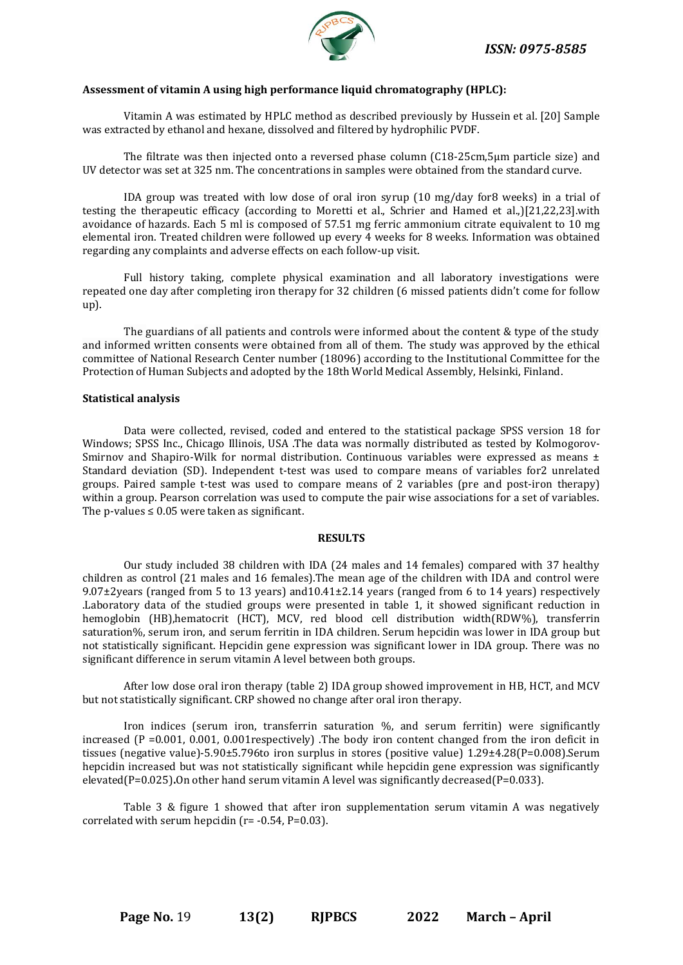

#### **Assessment of vitamin A using high performance liquid chromatography (HPLC):**

Vitamin A was estimated by HPLC method as described previously by Hussein et al. [20] Sample was extracted by ethanol and hexane, dissolved and filtered by hydrophilic PVDF.

The filtrate was then injected onto a reversed phase column (C18-25cm,5μm particle size) and UV detector was set at 325 nm. The concentrations in samples were obtained from the standard curve.

IDA group was treated with low dose of oral iron syrup (10 mg/day for8 weeks) in a trial of testing the therapeutic efficacy (according to Moretti et al., Schrier and Hamed et al.,)[21,22,23].with avoidance of hazards. Each 5 ml is composed of 57.51 mg ferric ammonium citrate equivalent to 10 mg elemental iron. Treated children were followed up every 4 weeks for 8 weeks. Information was obtained regarding any complaints and adverse effects on each follow-up visit.

Full history taking, complete physical examination and all laboratory investigations were repeated one day after completing iron therapy for 32 children (6 missed patients didn't come for follow up).

The guardians of all patients and controls were informed about the content & type of the study and informed written consents were obtained from all of them. The study was approved by the ethical committee of National Research Center number (18096) according to the Institutional Committee for the Protection of Human Subjects and adopted by the 18th World Medical Assembly, Helsinki, Finland.

#### **Statistical analysis**

Data were collected, revised, coded and entered to the statistical package SPSS version 18 for Windows; SPSS Inc., Chicago Illinois, USA .The data was normally distributed as tested by Kolmogorov-Smirnov and Shapiro-Wilk for normal distribution. Continuous variables were expressed as means  $\pm$ Standard deviation (SD). Independent t-test was used to compare means of variables for2 unrelated groups. Paired sample t-test was used to compare means of 2 variables (pre and post-iron therapy) within a group. Pearson correlation was used to compute the pair wise associations for a set of variables. The p-values  $\leq 0.05$  were taken as significant.

#### **RESULTS**

Our study included 38 children with IDA (24 males and 14 females) compared with 37 healthy children as control (21 males and 16 females).The mean age of the children with IDA and control were 9.07±2years (ranged from 5 to 13 years) and10.41±2.14 years (ranged from 6 to 14 years) respectively .Laboratory data of the studied groups were presented in table 1, it showed significant reduction in hemoglobin (HB),hematocrit (HCT), MCV, red blood cell distribution width(RDW%), transferrin saturation%, serum iron, and serum ferritin in IDA children. Serum hepcidin was lower in IDA group but not statistically significant. Hepcidin gene expression was significant lower in IDA group. There was no significant difference in serum vitamin A level between both groups.

After low dose oral iron therapy (table 2) IDA group showed improvement in HB, HCT, and MCV but not statistically significant. CRP showed no change after oral iron therapy.

Iron indices (serum iron, transferrin saturation %, and serum ferritin) were significantly increased  $(P = 0.001, 0.001, 0.001$  respectively). The body iron content changed from the iron deficit in tissues (negative value)-5.90±5.796to iron surplus in stores (positive value) 1.29±4.28(P=0.008).Serum hepcidin increased but was not statistically significant while hepcidin gene expression was significantly elevated(P=0.025)**.**On other hand serum vitamin A level was significantly decreased(P=0.033).

Table 3 & figure 1 showed that after iron supplementation serum vitamin A was negatively correlated with serum hepcidin ( $r = -0.54$ ,  $P = 0.03$ ).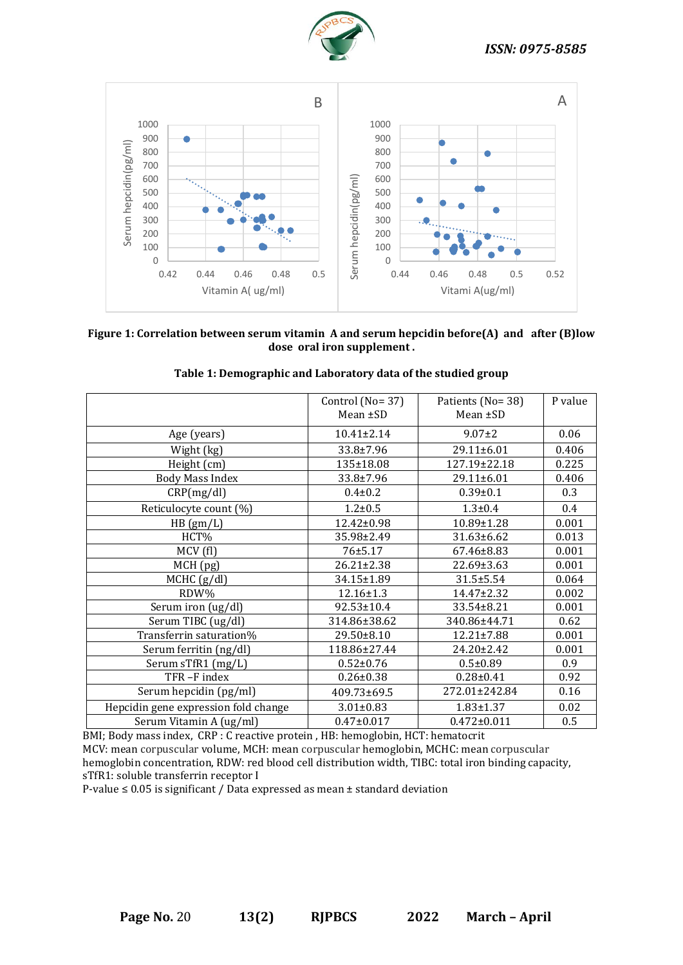



# **Figure 1: Correlation between serum vitamin A and serum hepcidin before(A) and after (B)low dose oral iron supplement .**

|                                      | Control (No= 37) | Patients (No=38)   | P value |
|--------------------------------------|------------------|--------------------|---------|
|                                      | Mean $\pm$ SD    | Mean $\pm$ SD      |         |
|                                      |                  |                    |         |
| Age (years)                          | 10.41±2.14       | $9.07 \pm 2$       | 0.06    |
| Wight (kg)                           | $33.8 \pm 7.96$  | $29.11 \pm 6.01$   | 0.406   |
| Height (cm)                          | 135±18.08        | $127.19 \pm 22.18$ | 0.225   |
| <b>Body Mass Index</b>               | $33.8 \pm 7.96$  | 29.11±6.01         | 0.406   |
| CRP(mg/dl)                           | $0.4 \pm 0.2$    | $0.39 \pm 0.1$     | 0.3     |
| Reticulocyte count (%)               | $1.2 \pm 0.5$    | $1.3 \pm 0.4$      | 0.4     |
| HB(gm/L)                             | $12.42 \pm 0.98$ | $10.89 \pm 1.28$   | 0.001   |
| HCT%                                 | 35.98±2.49       | $31.63 \pm 6.62$   | 0.013   |
| MCV(f)                               | $76 \pm 5.17$    | 67.46±8.83         | 0.001   |
| MCH (pg)                             | 26.21±2.38       | $22.69 \pm 3.63$   | 0.001   |
| MCHC (g/dl)                          | 34.15±1.89       | $31.5 \pm 5.54$    | 0.064   |
| RDW%                                 | $12.16 \pm 1.3$  | $14.47 \pm 2.32$   | 0.002   |
| Serum iron (ug/dl)                   | $92.53 \pm 10.4$ | 33.54±8.21         | 0.001   |
| Serum TIBC (ug/dl)                   | 314.86±38.62     | 340.86±44.71       | 0.62    |
| Transferrin saturation%              | 29.50±8.10       | $12.21 \pm 7.88$   | 0.001   |
| Serum ferritin (ng/dl)               | 118.86±27.44     | $24.20 \pm 2.42$   | 0.001   |
| Serum sTfR1 (mg/L)                   | $0.52 \pm 0.76$  | $0.5 \pm 0.89$     | 0.9     |
| TFR-F index                          | $0.26 \pm 0.38$  | $0.28 \pm 0.41$    | 0.92    |
| Serum hepcidin (pg/ml)               | 409.73±69.5      | 272.01±242.84      | 0.16    |
| Hepcidin gene expression fold change | $3.01 \pm 0.83$  | $1.83 \pm 1.37$    | 0.02    |
| Serum Vitamin A (ug/ml)              | $0.47 \pm 0.017$ | $0.472 \pm 0.011$  | 0.5     |

## **Table 1: Demographic and Laboratory data of the studied group**

BMI; Body mass index, CRP : C reactive protein , HB: hemoglobin, HCT: hematocrit MCV: mean corpuscular volume, MCH: mean corpuscular hemoglobin, MCHC: mean corpuscular hemoglobin concentration, RDW: red blood cell distribution width, TIBC: total iron binding capacity, sTfR1: soluble transferrin receptor I

P-value ≤ 0.05 is significant / Data expressed as mean ± standard deviation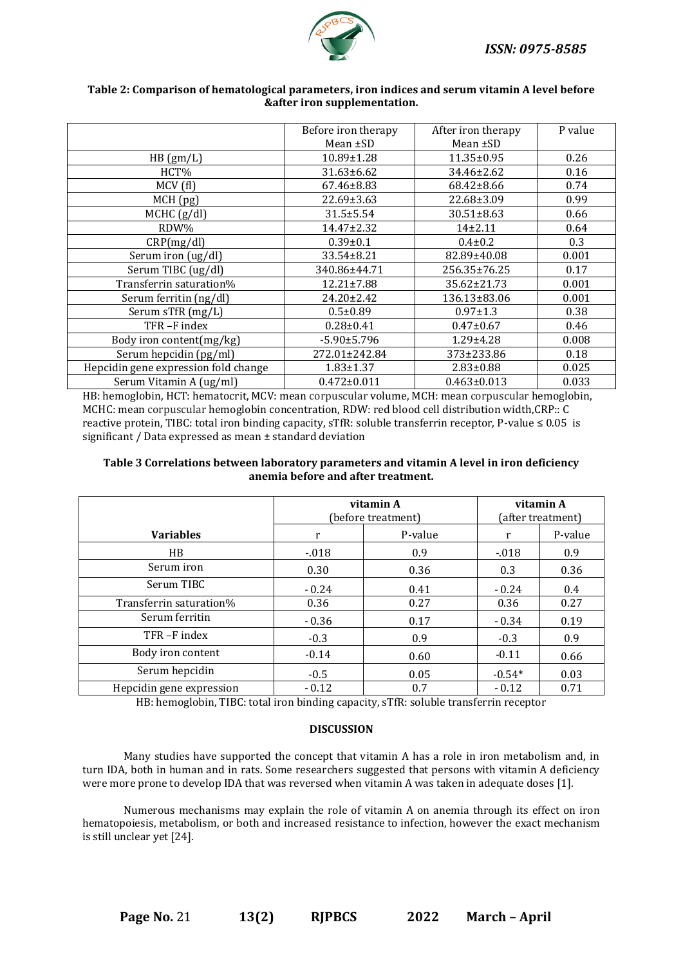

|                                      | Before iron therapy<br>After iron therapy |                   | P value |  |
|--------------------------------------|-------------------------------------------|-------------------|---------|--|
|                                      | Mean ±SD                                  | Mean ±SD          |         |  |
| HB(gm/L)                             | 10.89±1.28                                | 11.35±0.95        | 0.26    |  |
| HCT%                                 | 31.63±6.62                                | 34.46±2.62        | 0.16    |  |
| MCV(f)                               | 67.46±8.83                                | 68.42±8.66        | 0.74    |  |
| MCH (pg)                             | 22.69±3.63                                | 22.68±3.09        | 0.99    |  |
| MCHC (g/dl)                          | $31.5 \pm 5.54$                           | 30.51±8.63        | 0.66    |  |
| RDW%                                 | 14.47±2.32                                | $14+2.11$         | 0.64    |  |
| CRP(mg/dl)                           | $0.39 \pm 0.1$                            | $0.4 \pm 0.2$     | 0.3     |  |
| Serum iron (ug/dl)                   | 33.54±8.21                                | 82.89±40.08       | 0.001   |  |
| Serum TIBC (ug/dl)                   | 340.86±44.71                              | 256.35±76.25      | 0.17    |  |
| Transferrin saturation%              | 12.21±7.88                                | 35.62±21.73       | 0.001   |  |
| Serum ferritin (ng/dl)               | 24.20±2.42                                | 136.13±83.06      | 0.001   |  |
| Serum sTfR (mg/L)                    | $0.5 \pm 0.89$                            | $0.97 \pm 1.3$    | 0.38    |  |
| TFR-Findex                           | $0.28 \pm 0.41$                           | $0.47 \pm 0.67$   | 0.46    |  |
| Body iron content(mg/kg)             | $-5.90 \pm 5.796$                         | $1.29 \pm 4.28$   | 0.008   |  |
| Serum hepcidin (pg/ml)               | 272.01±242.84                             | 373±233.86        | 0.18    |  |
| Hepcidin gene expression fold change | $1.83 \pm 1.37$                           | $2.83 \pm 0.88$   | 0.025   |  |
| Serum Vitamin A (ug/ml)              | $0.472 \pm 0.011$                         | $0.463 \pm 0.013$ | 0.033   |  |

# **Table 2: Comparison of hematological parameters, iron indices and serum vitamin A level before &after iron supplementation.**

HB: hemoglobin, HCT: hematocrit, MCV: mean corpuscular volume, MCH: mean corpuscular hemoglobin, MCHC: mean corpuscular hemoglobin concentration, RDW: red blood cell distribution width,CRP:: C reactive protein, TIBC: total iron binding capacity, sTfR: soluble transferrin receptor, P-value ≤ 0.05 is significant / Data expressed as mean ± standard deviation

# **Table 3 Correlations between laboratory parameters and vitamin A level in iron deficiency anemia before and after treatment.**

|                          | vitamin A<br>(before treatment) |         | vitamin A<br>(after treatment) |         |
|--------------------------|---------------------------------|---------|--------------------------------|---------|
| <b>Variables</b>         | r                               | P-value | r                              | P-value |
| HB                       | $-018$                          | 0.9     | $-018$                         | 0.9     |
| Serum iron               | 0.30                            | 0.36    | 0.3                            | 0.36    |
| Serum TIBC               | $-0.24$                         | 0.41    | $-0.24$                        | 0.4     |
| Transferrin saturation%  | 0.36                            | 0.27    | 0.36                           | 0.27    |
| Serum ferritin           | $-0.36$                         | 0.17    | $-0.34$                        | 0.19    |
| TFR-F index              | $-0.3$                          | 0.9     | $-0.3$                         | 0.9     |
| Body iron content        | $-0.14$                         | 0.60    | $-0.11$                        | 0.66    |
| Serum hepcidin           | $-0.5$                          | 0.05    | $-0.54*$                       | 0.03    |
| Hepcidin gene expression | $-0.12$                         | 0.7     | $-0.12$                        | 0.71    |

HB: hemoglobin, TIBC: total iron binding capacity, sTfR: soluble transferrin receptor

# **DISCUSSION**

Many studies have supported the concept that vitamin A has a role in iron metabolism and, in turn IDA, both in human and in rats. Some researchers suggested that persons with vitamin A deficiency were more prone to develop IDA that was reversed when vitamin A was taken in adequate doses [1].

Numerous mechanisms may explain the role of vitamin A on anemia through its effect on iron hematopoiesis, metabolism, or both and increased resistance to infection, however the exact mechanism is still unclear yet [24].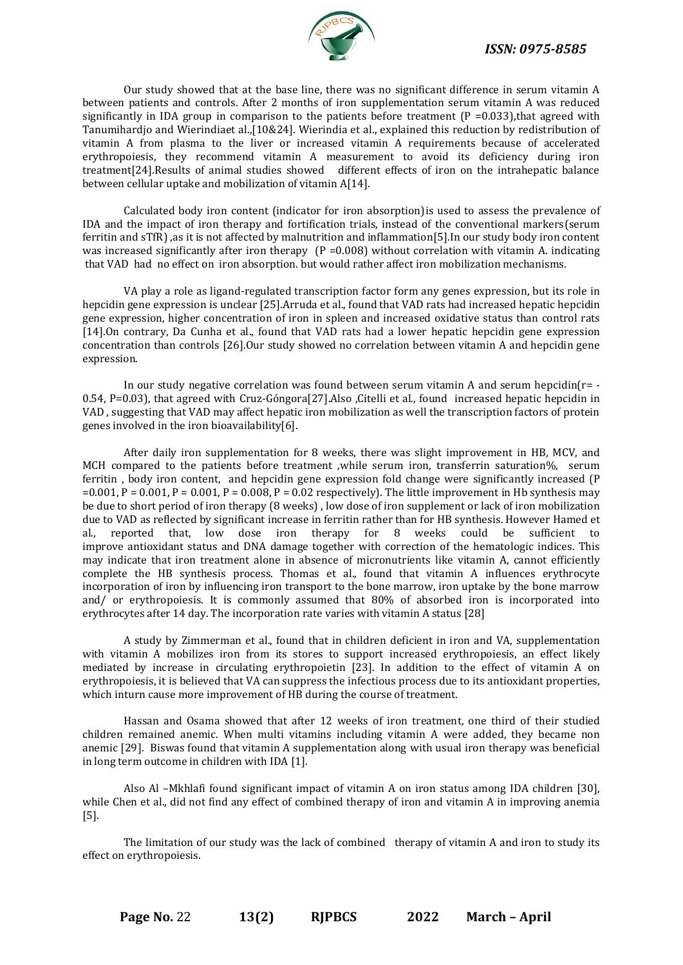

Our study showed that at the base line, there was no significant difference in serum vitamin A between patients and controls. After 2 months of iron supplementation serum vitamin A was reduced significantly in IDA group in comparison to the patients before treatment ( $P = 0.033$ ), that agreed with Tanumihardjo and Wierindiaet al.,[10&24]. Wierindia et al., explained this reduction by redistribution of vitamin A from plasma to the liver or increased vitamin A requirements because of accelerated erythropoiesis, they recommend vitamin A measurement to avoid its deficiency during iron treatment[24].Results of animal studies showed different effects of iron on the intrahepatic balance between cellular uptake and mobilization of vitamin A[14].

Calculated body iron content (indicator for iron absorption)is used to assess the prevalence of IDA and the impact of iron therapy and fortification trials, instead of the conventional markers(serum ferritin and sTfR) ,as it is not affected by malnutrition and inflammation[5].In our study body iron content was increased significantly after iron therapy ( $P = 0.008$ ) without correlation with vitamin A. indicating that VAD had no effect on iron absorption. but would rather affect iron mobilization mechanisms.

VA play a role as ligand-regulated transcription factor form any genes expression, but its role in hepcidin gene expression is unclear [25].Arruda et al., found that VAD rats had increased hepatic hepcidin gene expression, higher concentration of iron in spleen and increased oxidative status than control rats [14].On contrary, Da Cunha et al., found that VAD rats had a lower hepatic hepcidin gene expression concentration than controls [26].Our study showed no correlation between vitamin A and hepcidin gene expression.

In our study negative correlation was found between serum vitamin A and serum hepcidin( $r = -$ 0.54, P=0.03), that agreed with Cruz-Góngora[27].Also ,Citelli et al., found increased hepatic hepcidin in VAD , suggesting that VAD may affect hepatic iron mobilization as well the transcription factors of protein genes involved in the iron bioavailability[6].

After daily iron supplementation for 8 weeks, there was slight improvement in HB, MCV, and MCH compared to the patients before treatment ,while serum iron, transferrin saturation%, serum ferritin , body iron content, and hepcidin gene expression fold change were significantly increased (P  $=0.001$ , P  $= 0.001$ , P  $= 0.001$ , P  $= 0.008$ , P  $= 0.02$  respectively). The little improvement in Hb synthesis may be due to short period of iron therapy (8 weeks) , low dose of iron supplement or lack of iron mobilization due to VAD as reflected by significant increase in ferritin rather than for HB synthesis. However Hamed et al., reported that, low dose iron therapy for 8 weeks could be sufficient to improve antioxidant status and DNA damage together with correction of the hematologic indices. This may indicate that iron treatment alone in absence of micronutrients like vitamin A, cannot efficiently complete the HB synthesis process. Thomas et al., found that vitamin A influences erythrocyte incorporation of iron by influencing iron transport to the bone marrow, iron uptake by the bone marrow and/ or erythropoiesis. It is commonly assumed that 80% of absorbed iron is incorporated into erythrocytes after 14 day. The incorporation rate varies with vitamin A status [28]

A study by Zimmerman et al., found that in children deficient in iron and VA, supplementation with vitamin A mobilizes iron from its stores to support increased erythropoiesis, an effect likely mediated by increase in circulating erythropoietin [23]. In addition to the effect of vitamin A on erythropoiesis, it is believed that VA can suppress the infectious process due to its antioxidant properties, which inturn cause more improvement of HB during the course of treatment.

Hassan and Osama showed that after 12 weeks of iron treatment, one third of their studied children remained anemic. When multi vitamins including vitamin A were added, they became non anemic [29]. Biswas found that vitamin A supplementation along with usual iron therapy was beneficial in long term outcome in children with IDA [1].

Also Al –Mkhlafi found significant impact of vitamin A on iron status among IDA children [30], while Chen et al., did not find any effect of combined therapy of iron and vitamin A in improving anemia [5].

The limitation of our study was the lack of combined therapy of vitamin A and iron to study its effect on erythropoiesis.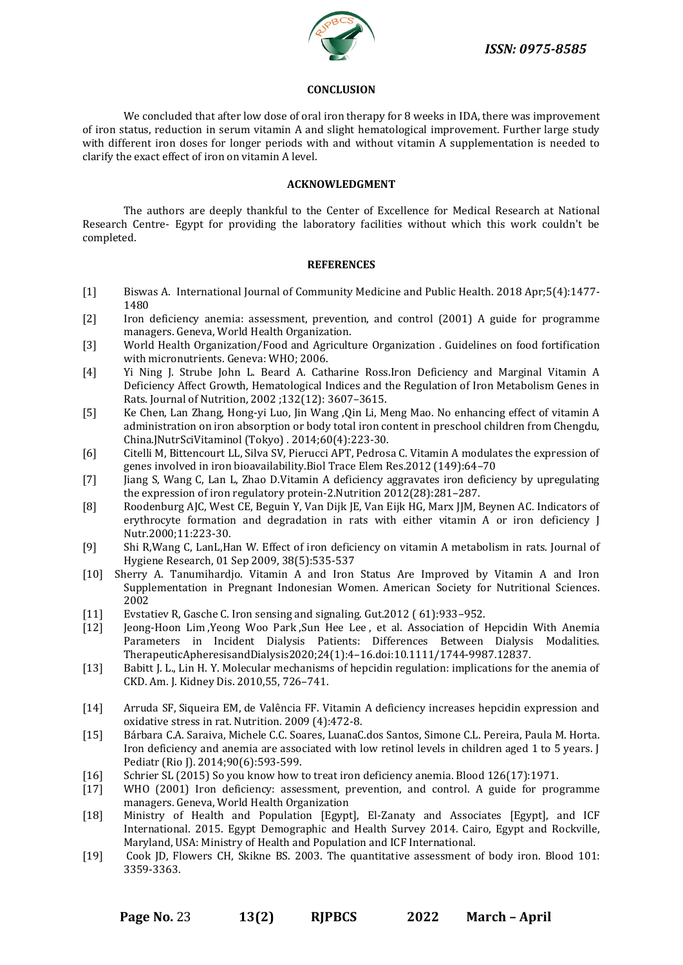

#### **CONCLUSION**

We concluded that after low dose of oral iron therapy for 8 weeks in IDA, there was improvement of iron status, reduction in serum vitamin A and slight hematological improvement. Further large study with different iron doses for longer periods with and without vitamin A supplementation is needed to clarify the exact effect of iron on vitamin A level.

# **ACKNOWLEDGMENT**

The authors are deeply thankful to the Center of Excellence for Medical Research at National Research Centre- Egypt for providing the laboratory facilities without which this work couldn't be completed.

#### **REFERENCES**

- [1] Biswas A. International Journal of Community Medicine and Public Health. 2018 Apr;5(4):1477- 1480
- [2] Iron deficiency anemia: assessment, prevention, and control (2001) A guide for programme managers. Geneva, World Health Organization.
- [3] World Health Organization/Food and Agriculture Organization . Guidelines on food fortification with micronutrients. Geneva: WHO; 2006.
- [4] Yi Ning J. Strube John L. Beard A. Catharine Ross.Iron Deficiency and Marginal Vitamin A Deficiency Affect Growth, Hematological Indices and the Regulation of Iron Metabolism Genes in Rats. Journal of Nutrition, 2002 ;132(12): 3607–3615.
- [5] Ke Chen, Lan Zhang, Hong-yi Luo, Jin Wang ,Qin Li, Meng Mao. No enhancing effect of vitamin A administration on iron absorption or body total iron content in preschool children from Chengdu, China.JNutrSciVitaminol (Tokyo) . 2014;60(4):223-30.
- [6] Citelli M, Bittencourt LL, Silva SV, Pierucci APT, Pedrosa C. Vitamin A modulates the expression of genes involved in iron bioavailability.Biol Trace Elem Res.2012 (149):64–70
- [7] Jiang S, Wang C, Lan L, Zhao D.Vitamin A deficiency aggravates iron deficiency by upregulating the expression of iron regulatory protein-2.Nutrition 2012(28):281–287.
- [8] Roodenburg AJC, West CE, Beguin Y, Van Dijk JE, Van Eijk HG, Marx JJM, Beynen AC. Indicators of erythrocyte formation and degradation in rats with either vitamin A or iron deficiency J Nutr.2000;11:223-30.
- [9] Shi R,Wang C, [LanL](https://europepmc.org/search?query=AUTH:%22Lan%20Lan%22)[,Han W.](https://europepmc.org/search?query=AUTH:%22Wei%20Han%22) Effect of iron deficiency on vitamin A metabolism in rats. Journal of Hygiene Research, 01 Sep 2009, 38(5):535-537
- [10] Sherry A. Tanumihardjo. Vitamin A and Iron Status Are Improved by Vitamin A and Iron Supplementation in Pregnant Indonesian Women. American Society for Nutritional Sciences. 2002
- [11] Evstatiev R, Gasche C. Iron sensing and signaling. Gut.2012 ( 61):933–952.
- [12] [Jeong‐Hoon Lim](https://onlinelibrary.wiley.com/action/doSearch?ContribAuthorStored=Lim%2C+Jeong-Hoon) [,Yeong Woo Park](https://onlinelibrary.wiley.com/action/doSearch?ContribAuthorStored=Park%2C+Yeong+Woo) [,Sun Hee Lee](https://onlinelibrary.wiley.com/action/doSearch?ContribAuthorStored=Lee%2C+Sun+Hee) , et al. Association of Hepcidin With Anemia Parameters in Incident Dialysis Patients: Differences Between Dialysis Modalities. TherapeuticApheresisandDialysis2020;24(1):4–16.doi:10.1111/1744-9987.12837.
- [13] Babitt J. L., Lin H. Y. Molecular mechanisms of hepcidin regulation: implications for the anemia of CKD. Am. J. Kidney Dis. 2010,55, 726–741.
- [14] [Arruda SF,](https://www.ncbi.nlm.nih.gov/pubmed/?term=Arruda%20SF%5BAuthor%5D&cauthor=true&cauthor_uid=19217259) [Siqueira EM,](https://www.ncbi.nlm.nih.gov/pubmed/?term=Siqueira%20EM%5BAuthor%5D&cauthor=true&cauthor_uid=19217259) [de Valência FF.](https://www.ncbi.nlm.nih.gov/pubmed/?term=de%20Val%C3%AAncia%20FF%5BAuthor%5D&cauthor=true&cauthor_uid=19217259) Vitamin A deficiency increases hepcidin expression and oxidative stress in rat. [Nutrition.](https://www.ncbi.nlm.nih.gov/pubmed/19217259) 2009 (4):472-8.
- [15] Bárbara C.A. Saraiva, Michele C.C. Soares, LuanaC.dos Santos, Simone C.L. Pereira, Paula M. Horta. Iron deficiency and anemia are associated with low retinol levels in children aged 1 to 5 years. J Pediatr (Rio J). 2014;90(6):593-599.
- [16] Schrier SL (2015) So you know how to treat iron deficiency anemia. Blood 126(17):1971.
- [17] WHO (2001) Iron deficiency: assessment, prevention, and control. A guide for programme managers. Geneva, World Health Organization
- [18] Ministry of Health and Population [Egypt], El-Zanaty and Associates [Egypt], and ICF International. 2015. Egypt Demographic and Health Survey 2014. Cairo, Egypt and Rockville, Maryland, USA: Ministry of Health and Population and ICF International.
- [19] Cook JD, Flowers CH, Skikne BS. 2003. The [quantitative](https://jlc.jst.go.jp/DN/JALC/00353579772?type=list&lang=en&from=J-STAGE&dispptn=1) assessment of body iron. Blood 101: [3359-3363.](https://jlc.jst.go.jp/DN/JALC/00353579772?type=list&lang=en&from=J-STAGE&dispptn=1)

**Page No.** 23 **13(2) RJPBCS 2022 March – April**